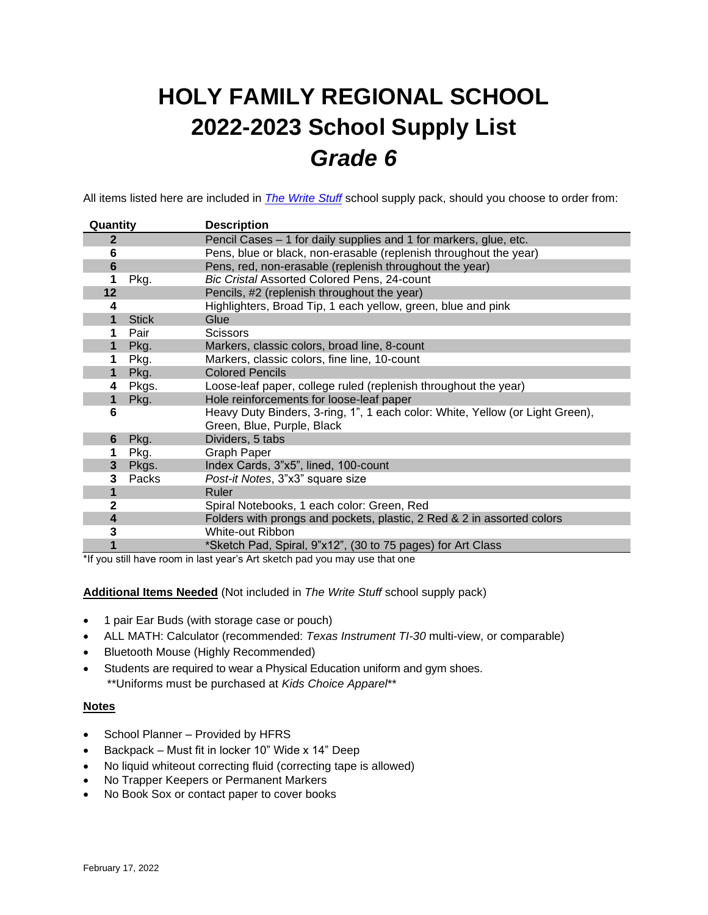# **HOLY FAMILY REGIONAL SCHOOL 2022-2023 School Supply List** *Grade 6*

All items listed here are included in *[The Write Stuff](https://www.write-stuff.com/storefront/school/hfrs)* school supply pack, should you choose to order from:

| Quantity                |              | <b>Description</b>                                                            |  |  |
|-------------------------|--------------|-------------------------------------------------------------------------------|--|--|
| $\mathbf{2}$            |              | Pencil Cases - 1 for daily supplies and 1 for markers, glue, etc.             |  |  |
| 6                       |              | Pens, blue or black, non-erasable (replenish throughout the year)             |  |  |
| 6                       |              | Pens, red, non-erasable (replenish throughout the year)                       |  |  |
| 1                       | Pkg.         | Bic Cristal Assorted Colored Pens, 24-count                                   |  |  |
| 12                      |              | Pencils, #2 (replenish throughout the year)                                   |  |  |
| 4                       |              | Highlighters, Broad Tip, 1 each yellow, green, blue and pink                  |  |  |
| 1                       | <b>Stick</b> | Glue                                                                          |  |  |
| 1                       | Pair         | <b>Scissors</b>                                                               |  |  |
| $\mathbf 1$             | Pkg.         | Markers, classic colors, broad line, 8-count                                  |  |  |
| 1                       | Pkg.         | Markers, classic colors, fine line, 10-count                                  |  |  |
| $\mathbf{1}$            | Pkg.         | <b>Colored Pencils</b>                                                        |  |  |
| 4                       | Pkgs.        | Loose-leaf paper, college ruled (replenish throughout the year)               |  |  |
| $\mathbf 1$             | Pkg.         | Hole reinforcements for loose-leaf paper                                      |  |  |
| 6                       |              | Heavy Duty Binders, 3-ring, 1", 1 each color: White, Yellow (or Light Green), |  |  |
|                         |              | Green, Blue, Purple, Black                                                    |  |  |
| 6                       | Pkg.         | Dividers, 5 tabs                                                              |  |  |
| 1                       | Pkg.         | Graph Paper                                                                   |  |  |
| 3                       | Pkgs.        | Index Cards, 3"x5", lined, 100-count                                          |  |  |
| 3                       | Packs        | Post-it Notes, 3"x3" square size                                              |  |  |
|                         |              | Ruler                                                                         |  |  |
| $\mathbf{2}$            |              | Spiral Notebooks, 1 each color: Green, Red                                    |  |  |
| $\overline{\mathbf{4}}$ |              | Folders with prongs and pockets, plastic, 2 Red & 2 in assorted colors        |  |  |
| 3                       |              | White-out Ribbon                                                              |  |  |
|                         |              | *Sketch Pad, Spiral, 9"x12", (30 to 75 pages) for Art Class                   |  |  |

\*If you still have room in last year's Art sketch pad you may use that one

**Additional Items Needed** (Not included in *The Write Stuff* school supply pack)

- 1 pair Ear Buds (with storage case or pouch)
- ALL MATH: Calculator (recommended: *Texas Instrument TI-30* multi-view, or comparable)
- Bluetooth Mouse (Highly Recommended)
- Students are required to wear a Physical Education uniform and gym shoes. \*\*Uniforms must be purchased at *Kids Choice Apparel*\*\*

### **Notes**

- School Planner Provided by HFRS
- Backpack Must fit in locker 10" Wide x 14" Deep
- No liquid whiteout correcting fluid (correcting tape is allowed)
- No Trapper Keepers or Permanent Markers
- No Book Sox or contact paper to cover books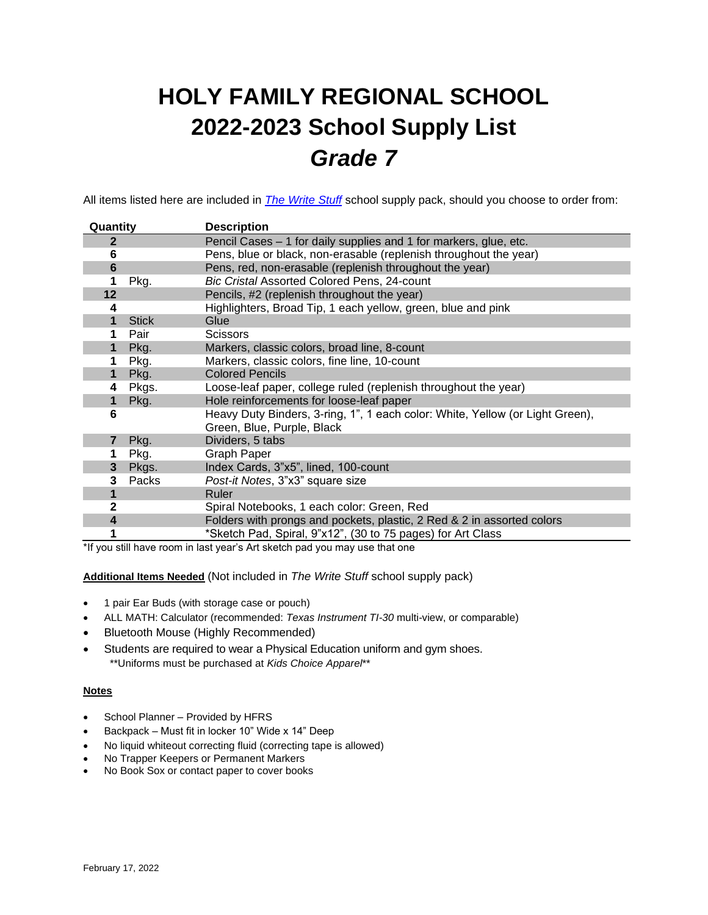# **HOLY FAMILY REGIONAL SCHOOL 2022-2023 School Supply List** *Grade 7*

All items listed here are included in *[The Write Stuff](https://www.write-stuff.com/storefront/school/hfrs)* school supply pack, should you choose to order from:

| Quantity                |                                                              | <b>Description</b>                                                                                          |  |  |
|-------------------------|--------------------------------------------------------------|-------------------------------------------------------------------------------------------------------------|--|--|
| 2                       |                                                              | Pencil Cases – 1 for daily supplies and 1 for markers, glue, etc.                                           |  |  |
| 6                       |                                                              | Pens, blue or black, non-erasable (replenish throughout the year)                                           |  |  |
| $6\phantom{1}$          |                                                              | Pens, red, non-erasable (replenish throughout the year)                                                     |  |  |
| 1                       | Pkg.                                                         | <b>Bic Cristal Assorted Colored Pens, 24-count</b>                                                          |  |  |
| 12                      |                                                              | Pencils, #2 (replenish throughout the year)                                                                 |  |  |
| 4                       | Highlighters, Broad Tip, 1 each yellow, green, blue and pink |                                                                                                             |  |  |
| 1                       | <b>Stick</b>                                                 | Glue                                                                                                        |  |  |
| 1                       | Pair                                                         | <b>Scissors</b>                                                                                             |  |  |
| 1                       | Pkg.                                                         | Markers, classic colors, broad line, 8-count                                                                |  |  |
| 1                       | Pkg.                                                         | Markers, classic colors, fine line, 10-count                                                                |  |  |
| 1                       | Pkg.                                                         | <b>Colored Pencils</b>                                                                                      |  |  |
| 4                       | Pkgs.                                                        | Loose-leaf paper, college ruled (replenish throughout the year)                                             |  |  |
| 1                       | Pkg.                                                         | Hole reinforcements for loose-leaf paper                                                                    |  |  |
| 6                       |                                                              | Heavy Duty Binders, 3-ring, 1", 1 each color: White, Yellow (or Light Green),<br>Green, Blue, Purple, Black |  |  |
| $\overline{7}$          | Pkg.                                                         | Dividers, 5 tabs                                                                                            |  |  |
|                         | Pkg.                                                         | <b>Graph Paper</b>                                                                                          |  |  |
| 3                       | Pkgs.                                                        | Index Cards, 3"x5", lined, 100-count                                                                        |  |  |
| 3                       | Packs                                                        | Post-it Notes, 3"x3" square size                                                                            |  |  |
|                         |                                                              | Ruler                                                                                                       |  |  |
| 2                       |                                                              | Spiral Notebooks, 1 each color: Green, Red                                                                  |  |  |
| $\overline{\mathbf{4}}$ |                                                              | Folders with prongs and pockets, plastic, 2 Red & 2 in assorted colors                                      |  |  |
|                         |                                                              | *Sketch Pad, Spiral, 9"x12", (30 to 75 pages) for Art Class                                                 |  |  |

\*If you still have room in last year's Art sketch pad you may use that one

**Additional Items Needed** (Not included in *The Write Stuff* school supply pack)

- 1 pair Ear Buds (with storage case or pouch)
- ALL MATH: Calculator (recommended: *Texas Instrument TI-30* multi-view, or comparable)
- Bluetooth Mouse (Highly Recommended)
- Students are required to wear a Physical Education uniform and gym shoes. \*\*Uniforms must be purchased at *Kids Choice Apparel*\*\*

### **Notes**

- School Planner Provided by HFRS
- Backpack Must fit in locker 10" Wide x 14" Deep
- No liquid whiteout correcting fluid (correcting tape is allowed)
- No Trapper Keepers or Permanent Markers
- No Book Sox or contact paper to cover books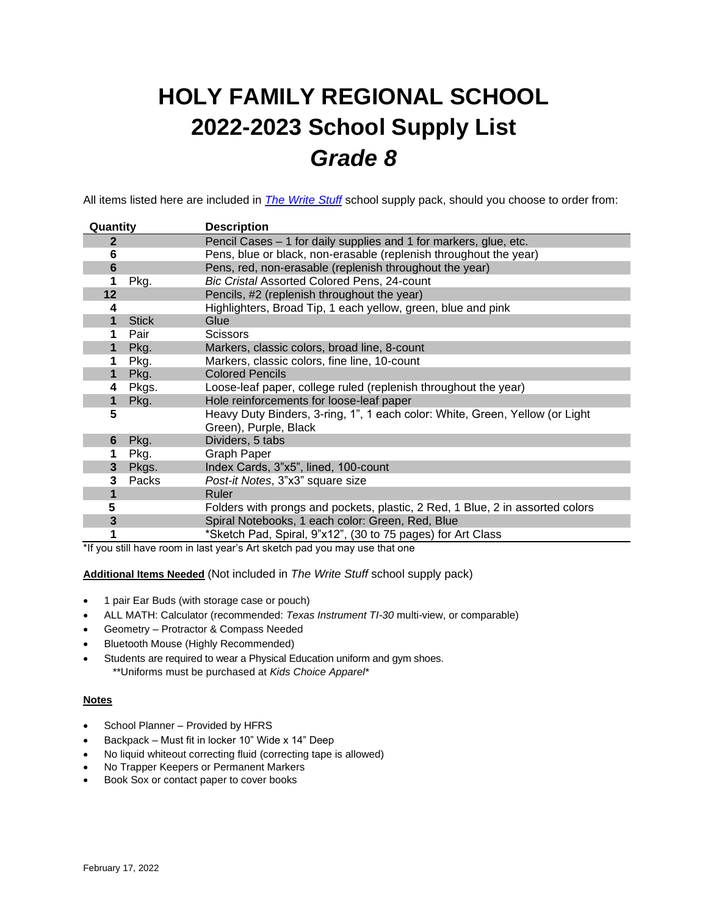# **HOLY FAMILY REGIONAL SCHOOL 2022-2023 School Supply List** *Grade 8*

All items listed here are included in *[The Write Stuff](https://www.write-stuff.com/storefront/school/hfrs)* school supply pack, should you choose to order from:

| Quantity     |              | <b>Description</b>                                                                                    |  |  |
|--------------|--------------|-------------------------------------------------------------------------------------------------------|--|--|
| 2            |              | Pencil Cases - 1 for daily supplies and 1 for markers, glue, etc.                                     |  |  |
| 6            |              | Pens, blue or black, non-erasable (replenish throughout the year)                                     |  |  |
| 6            |              | Pens, red, non-erasable (replenish throughout the year)                                               |  |  |
| 1            | Pkg.         | Bic Cristal Assorted Colored Pens, 24-count                                                           |  |  |
| 12           |              | Pencils, #2 (replenish throughout the year)                                                           |  |  |
| 4            |              | Highlighters, Broad Tip, 1 each yellow, green, blue and pink                                          |  |  |
| 1            | <b>Stick</b> | Glue                                                                                                  |  |  |
|              | Pair         | <b>Scissors</b>                                                                                       |  |  |
| $\mathbf{1}$ | Pkg.         | Markers, classic colors, broad line, 8-count                                                          |  |  |
| 1            | Pkg.         | Markers, classic colors, fine line, 10-count                                                          |  |  |
| 1            | Pkg.         | <b>Colored Pencils</b>                                                                                |  |  |
| 4            | Pkgs.        | Loose-leaf paper, college ruled (replenish throughout the year)                                       |  |  |
| 1            | Pkg.         | Hole reinforcements for loose-leaf paper                                                              |  |  |
| 5            |              | Heavy Duty Binders, 3-ring, 1", 1 each color: White, Green, Yellow (or Light<br>Green), Purple, Black |  |  |
| 6            | Pkg.         | Dividers, 5 tabs                                                                                      |  |  |
| 1            | Pkg.         | Graph Paper                                                                                           |  |  |
| 3            | Pkgs.        | Index Cards, 3"x5", lined, 100-count                                                                  |  |  |
| 3            | Packs        | Post-it Notes, 3"x3" square size                                                                      |  |  |
|              |              | Ruler                                                                                                 |  |  |
| 5            |              | Folders with prongs and pockets, plastic, 2 Red, 1 Blue, 2 in assorted colors                         |  |  |
| 3            |              | Spiral Notebooks, 1 each color: Green, Red, Blue                                                      |  |  |
|              |              | *Sketch Pad, Spiral, 9"x12", (30 to 75 pages) for Art Class                                           |  |  |

\*If you still have room in last year's Art sketch pad you may use that one

**Additional Items Needed** (Not included in *The Write Stuff* school supply pack)

- 1 pair Ear Buds (with storage case or pouch)
- ALL MATH: Calculator (recommended: *Texas Instrument TI-30* multi-view, or comparable)
- Geometry Protractor & Compass Needed
- Bluetooth Mouse (Highly Recommended)
- Students are required to wear a Physical Education uniform and gym shoes. \*\*Uniforms must be purchased at *Kids Choice Apparel*\*

### **Notes**

- School Planner Provided by HFRS
- Backpack Must fit in locker 10" Wide x 14" Deep
- No liquid whiteout correcting fluid (correcting tape is allowed)
- No Trapper Keepers or Permanent Markers
- Book Sox or contact paper to cover books